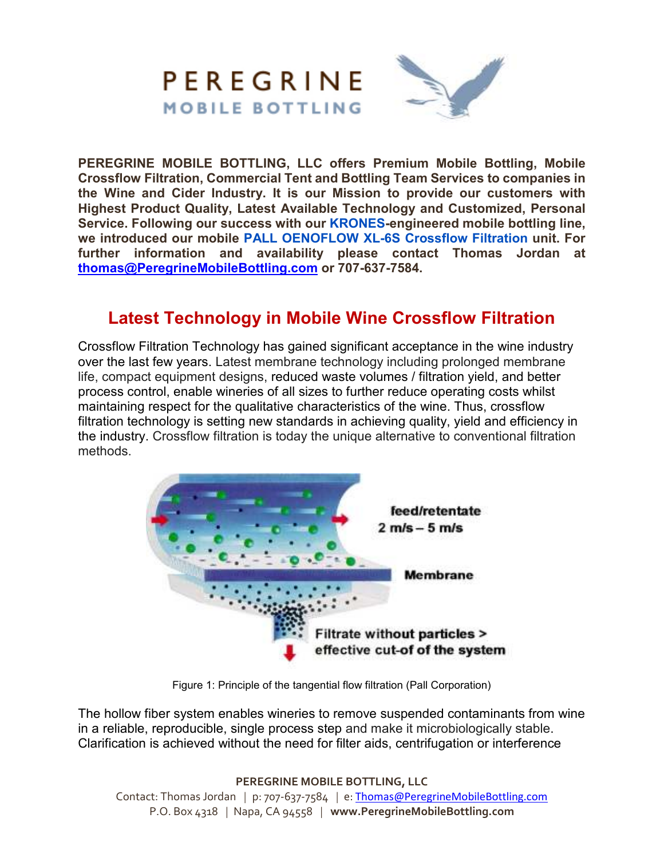

**PEREGRINE MOBILE BOTTLING, LLC offers Premium Mobile Bottling, Mobile Crossflow Filtration, Commercial Tent and Bottling Team Services to companies in the Wine and Cider Industry. It is our Mission to provide our customers with Highest Product Quality, Latest Available Technology and Customized, Personal Service. Following our success with our KRONES-engineered mobile bottling line, we introduced our mobile PALL OENOFLOW XL-6S Crossflow Filtration unit. For further information and availability please contact Thomas Jordan at thomas@PeregrineMobileBottling.com or 707-637-7584.** 

## **Latest Technology in Mobile Wine Crossflow Filtration**

Crossflow Filtration Technology has gained significant acceptance in the wine industry over the last few years. Latest membrane technology including prolonged membrane life, compact equipment designs, reduced waste volumes / filtration yield, and better process control, enable wineries of all sizes to further reduce operating costs whilst maintaining respect for the qualitative characteristics of the wine. Thus, crossflow filtration technology is setting new standards in achieving quality, yield and efficiency in the industry. Crossflow filtration is today the unique alternative to conventional filtration methods.



Figure 1: Principle of the tangential flow filtration (Pall Corporation)

The hollow fiber system enables wineries to remove suspended contaminants from wine in a reliable, reproducible, single process step and make it microbiologically stable. Clarification is achieved without the need for filter aids, centrifugation or interference

**PEREGRINE MOBILE BOTTLING, LLC**

Contact: Thomas Jordan *|* p: 707-637-7584 *|* e: Thomas@PeregrineMobileBottling.com P.O. Box 4318 *|* Napa, CA 94558 *|* **www.PeregrineMobileBottling.com**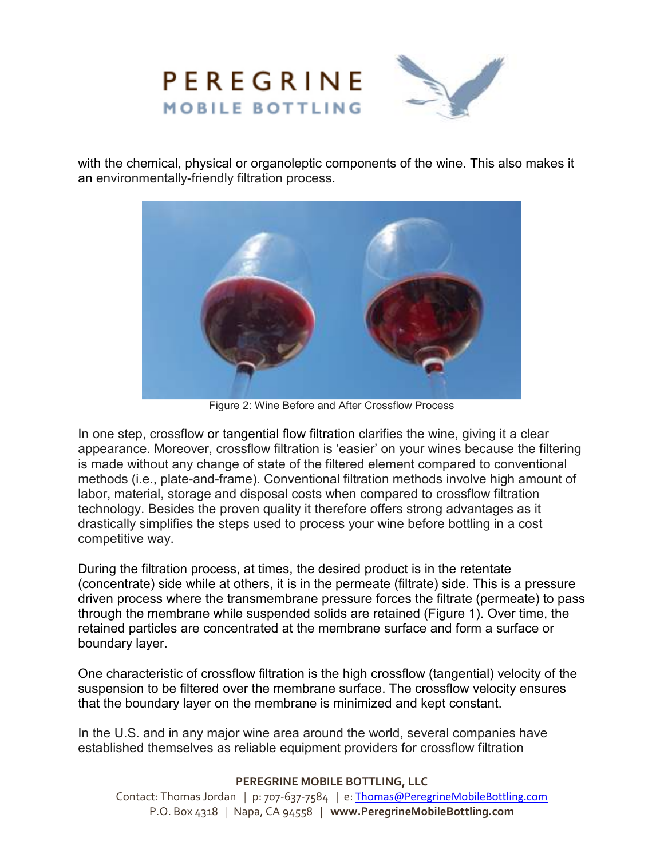

with the chemical, physical or organoleptic components of the wine. This also makes it an environmentally-friendly filtration process.



Figure 2: Wine Before and After Crossflow Process

In one step, crossflow or tangential flow filtration clarifies the wine, giving it a clear appearance. Moreover, crossflow filtration is 'easier' on your wines because the filtering is made without any change of state of the filtered element compared to conventional methods (i.e., plate-and-frame). Conventional filtration methods involve high amount of labor, material, storage and disposal costs when compared to crossflow filtration technology. Besides the proven quality it therefore offers strong advantages as it drastically simplifies the steps used to process your wine before bottling in a cost competitive way.

During the filtration process, at times, the desired product is in the retentate (concentrate) side while at others, it is in the permeate (filtrate) side. This is a pressure driven process where the transmembrane pressure forces the filtrate (permeate) to pass through the membrane while suspended solids are retained (Figure 1). Over time, the retained particles are concentrated at the membrane surface and form a surface or boundary layer.

One characteristic of crossflow filtration is the high crossflow (tangential) velocity of the suspension to be filtered over the membrane surface. The crossflow velocity ensures that the boundary layer on the membrane is minimized and kept constant.

In the U.S. and in any major wine area around the world, several companies have established themselves as reliable equipment providers for crossflow filtration

## **PEREGRINE MOBILE BOTTLING, LLC**

Contact: Thomas Jordan *|* p: 707-637-7584 *|* e: Thomas@PeregrineMobileBottling.com P.O. Box 4318 *|* Napa, CA 94558 *|* **www.PeregrineMobileBottling.com**